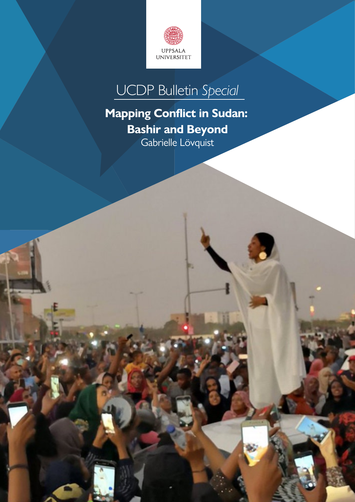

# UCDP Bulletin *Special*

## **Mapping Conflict in Sudan: Bashir and Beyond**

Gabrielle Lövquist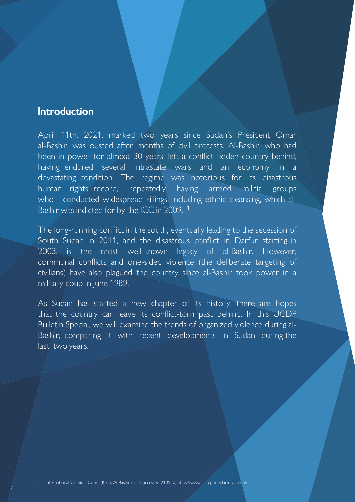#### **Introduction**

2

April 11th, 2021, marked two years since Sudan's President Omar al-Bashir, was ousted after months of civil protests. Al-Bashir, who had been in power for almost 30 years, left a conflict-ridden country behind, having endured several intrastate wars and an economy in a devastating condition. The regime was notorious for its disastrous human rights record, repeatedly having armed militia groups who conducted widespread killings, including ethnic cleansing, which al-Bashir was indicted for by the ICC in 2009.<sup>1</sup>

The long-running conflict in the south, eventually leading to the secession of South Sudan in 2011, and the disastrous conflict in Darfur starting in 2003, is the most well-known legacy of al-Bashir. However, communal conflicts and one-sided violence (the deliberate targeting of civilians) have also plagued the country since al-Bashir took power in a military coup in lune 1989.

As Sudan has started a new chapter of its history, there are hopes that the country can leave its conflict-torn past behind. In this UCDP Bulletin Special, we will examine the trends of organized violence during al-Bashir, comparing it with recent developments in Sudan during the last two years.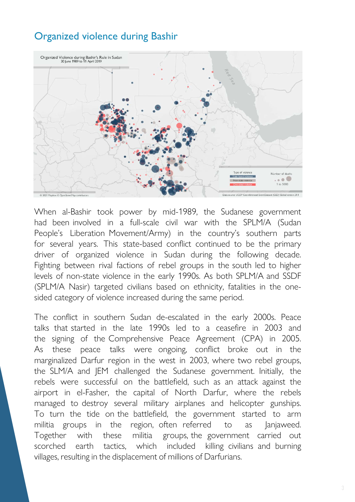### Organized violence during Bashir



When al-Bashir took power by mid-1989, the Sudanese government had been involved in a full-scale civil war with the SPLM/A (Sudan People's Liberation Movement/Army) in the country's southern parts for several years. This state-based conflict continued to be the primary driver of organized violence in Sudan during the following decade. Fighting between rival factions of rebel groups in the south led to higher levels of non-state violence in the early 1990s. As both SPLM/A and SSDF (SPLM/A Nasir) targeted civilians based on ethnicity, fatalities in the onesided category of violence increased during the same period.

The conflict in southern Sudan de-escalated in the early 2000s. Peace talks that started in the late 1990s led to a ceasefire in 2003 and the signing of the Comprehensive Peace Agreement (CPA) in 2005. As these peace talks were ongoing, conflict broke out in the marginalized Darfur region in the west in 2003, where two rebel groups, the SLM/A and JEM challenged the Sudanese government. Initially, the rebels were successful on the battlefield, such as an attack against the airport in el-Fasher, the capital of North Darfur, where the rebels managed to destroy several military airplanes and helicopter gunships. To turn the tide on the battlefield, the government started to arm militia groups in the region, often referred to as Janjaweed. Together with these militia groups, the government carried out scorched earth tactics, which included killing civilians and burning villages, resulting in the displacement of millions of Darfurians.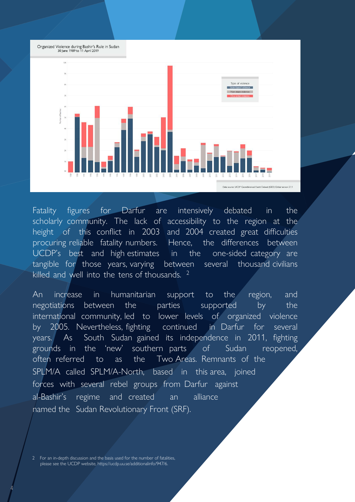

Fatality figures for Darfur are intensively debated in the scholarly community. The lack of accessibility to the region at the height of this conflict in 2003 and 2004 created great difficulties procuring reliable fatality numbers. Hence, the differences between UCDP's best and high estimates in the one-sided category are tangible for those years, varying between several thousand civilians killed and well into the tens of thousands.<sup>2</sup>

An increase in humanitarian support to the region, and negotiations between the parties supported by the international community, led to lower levels of organized violence by 2005. Nevertheless, fighting continued in Darfur for several years. As South Sudan gained its independence in 2011, fighting grounds in the 'new' southern parts of Sudan reopened, often referred to as the Two Areas. Remnants of the SPLM/A called SPLM/A-North, based in this area, joined forces with several rebel groups from Darfur against al-Bashir's regime and created an alliance named the Sudan Revolutionary Front (SRF).

For an in-depth discussion and the basis used for the number of fatalities, please see the UCDP website, https://ucdp.uu.se/additionalinfo/947/6.

4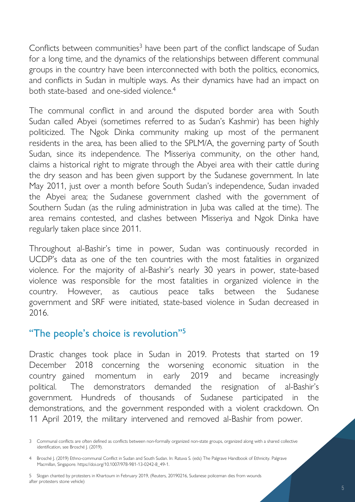Conflicts between communities<sup>3</sup> have been part of the conflict landscape of Sudan for a long time, and the dynamics of the relationships between different communal groups in the country have been interconnected with both the politics, economics, and conflicts in Sudan in multiple ways. As their dynamics have had an impact on both state-based and one-sided violence.<sup>4</sup>

The communal conflict in and around the disputed border area with South Sudan called Abyei (sometimes referred to as Sudan's Kashmir) has been highly politicized. The Ngok Dinka community making up most of the permanent residents in the area, has been allied to the SPLM/A, the governing party of South Sudan, since its independence. The Misseriya community, on the other hand, claims a historical right to migrate through the Abyei area with their cattle during the dry season and has been given support by the Sudanese government. In late May 2011, just over a month before South Sudan's independence, Sudan invaded the Abyei area; the Sudanese government clashed with the government of Southern Sudan (as the ruling administration in Juba was called at the time). The area remains contested, and clashes between Misseriya and Ngok Dinka have regularly taken place since 2011.

Throughout al-Bashir's time in power, Sudan was continuously recorded in UCDP's data as one of the ten countries with the most fatalities in organized violence. For the majority of al-Bashir's nearly 30 years in power, state-based violence was responsible for the most fatalities in organized violence in the country. However, as cautious peace talks between the Sudanese government and SRF were initiated, state-based violence in Sudan decreased in 2016.

#### "The people's choice is revolution"<sup>5</sup>

Drastic changes took place in Sudan in 2019. Protests that started on 19 December 2018 concerning the worsening economic situation in the country gained momentum in early 2019 and became increasingly political. The demonstrators demanded the resignation of al-Bashir's government. Hundreds of thousands of Sudanese participated in the demonstrations, and the government responded with a violent crackdown. On 11 April 2019, the military intervened and removed al-Bashir from power.

5 Slogan chanted by protesters in Khartoum in February 2019, (Reuters, 20190216, Sudanese policeman dies from wounds after protesters stone vehicle)

<sup>3</sup> Communal conflicts are often defined as conflicts between non-formally organized non-state groups, organized along with a shared collective identification, see Brosché J. (2019).

<sup>4</sup> Brosché J. (2019) Ethno-communal Conflict in Sudan and South Sudan. In: Ratuva S. (eds) The Palgrave Handbook of Ethnicity. Palgrave Macmillan, Singapore. https://doi.org/10.1007/978-981-13-0242-8\_49-1.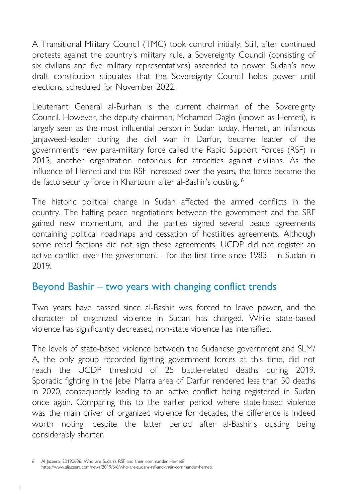A Transitional Military Council (TMC) took control initially. Still, after continued protests against the country's military rule, a Sovereignty Council (consisting of six civilians and five military representatives) ascended to power. Sudan's new draft constitution stipulates that the Sovereignty Council holds power until elections, scheduled for November 2022.

Lieutenant General al-Burhan is the current chairman of the Sovereignty Council. However, the deputy chairman, Mohamed Daglo (known as Hemeti), is largely seen as the most influential person in Sudan today. Hemeti, an infamous Janjaweed-leader during the civil war in Darfur, became leader of the government's new para-military force called the Rapid Support Forces (RSF) in 2013, another organization notorious for atrocities against civilians. As the influence of Hemeti and the RSF increased over the years, the force became the de facto security force in Khartoum after al-Bashir's ousting.<sup>6</sup>

The historic political change in Sudan affected the armed conflicts in the country. The halting peace negotiations between the government and the SRF gained new momentum, and the parties signed several peace agreements containing political roadmaps and cessation of hostilities agreements. Although some rebel factions did not sign these agreements, UCDP did not register an active conflict over the government - for the first time since 1983 - in Sudan in 2019.

#### Beyond Bashir – two years with changing conflict trends

Two years have passed since al-Bashir was forced to leave power, and the character of organized violence in Sudan has changed. While state-based violence has significantly decreased, non-state violence has intensified.

The levels of state-based violence between the Sudanese government and SLM/ A, the only group recorded fighting government forces at this time, did not reach the UCDP threshold of 25 battle-related deaths during 2019. Sporadic fighting in the Jebel Marra area of Darfur rendered less than 50 deaths in 2020, consequently leading to an active conflict being registered in Sudan once again. Comparing this to the earlier period where state-based violence was the main driver of organized violence for decades, the difference is indeed worth noting, despite the latter period after al-Bashir's ousting being considerably shorter.

Al Jazeera, 20190606, Who are Sudan's RSF and their commander Hemeti? https://www.aljazeera.com/news/2019/6/6/who-are-sudans-rsf-and-their-commander-hemeti.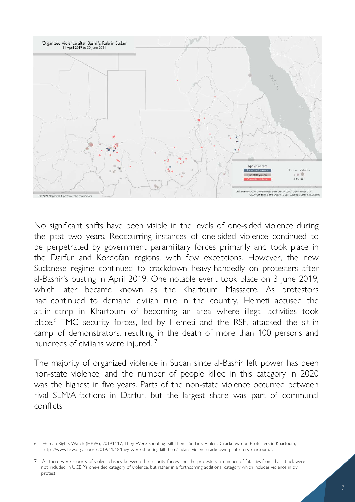

No significant shifts have been visible in the levels of one-sided violence during the past two years. Reoccurring instances of one-sided violence continued to be perpetrated by government paramilitary forces primarily and took place in the Darfur and Kordofan regions, with few exceptions. However, the new Sudanese regime continued to crackdown heavy-handedly on protesters after al-Bashir's ousting in April 2019. One notable event took place on 3 June 2019, which later became known as the Khartoum Massacre. As protestors had continued to demand civilian rule in the country, Hemeti accused the sit-in camp in Khartoum of becoming an area where illegal activities took place.<sup>6</sup> TMC security forces, led by Hemeti and the RSF, attacked the sit-in camp of demonstrators, resulting in the death of more than 100 persons and hundreds of civilians were injured.<sup>7</sup>

The majority of organized violence in Sudan since al-Bashir left power has been non-state violence, and the number of people killed in this category in 2020 was the highest in five years. Parts of the non-state violence occurred between rival SLM/A-factions in Darfur, but the largest share was part of communal conflicts.

<sup>6</sup> Human Rights Watch (HRW), 20191117, They Were Shouting 'Kill Them': Sudan's Violent Crackdown on Protesters in Khartoum, https://www.hrw.org/report/2019/11/18/they-were-shouting-kill-them/sudans-violent-crackdown-protesters-khartoum#.

<sup>7</sup> As there were reports of violent clashes between the security forces and the protesters a number of fatalities from that attack were not included in UCDP's one-sided category of violence, but rather in a forthcoming additional category which includes violence in civil protest.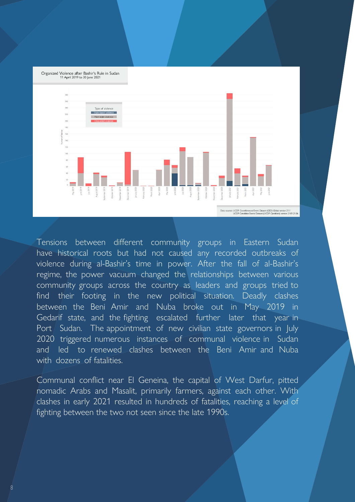Organized Violence after Bashir's Rule in Sudan<br>11 April 2019 to 30 June 2021



Tensions between different community groups in Eastern Sudan have historical roots but had not caused any recorded outbreaks of violence during al-Bashir's time in power. After the fall of al-Bashir's regime, the power vacuum changed the relationships between various community groups across the country as leaders and groups tried to find their footing in the new political situation. Deadly clashes between the Beni Amir and Nuba broke out in May 2019 in Gedarif state, and the fighting escalated further later that year in Port Sudan. The appointment of new civilian state governors in July 2020 triggered numerous instances of communal violence in Sudan and led to renewed clashes between the Beni Amir and Nuba with dozens of fatalities.

Communal conflict near El Geneina, the capital of West Darfur, pitted nomadic Arabs and Masalit, primarily farmers, against each other. With clashes in early 2021 resulted in hundreds of fatalities, reaching a level of fighting between the two not seen since the late 1990s.